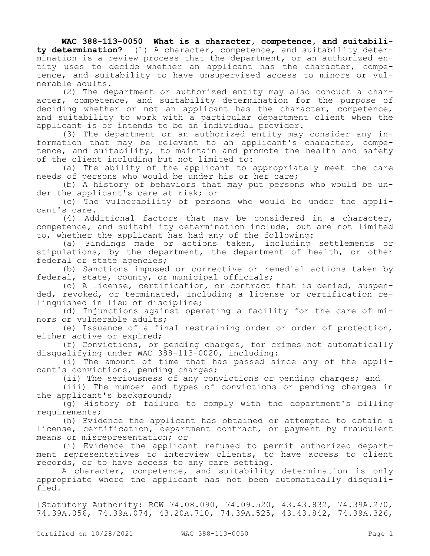**WAC 388-113-0050 What is a character, competence, and suitability determination?** (1) A character, competence, and suitability determination is a review process that the department, or an authorized entity uses to decide whether an applicant has the character, competence, and suitability to have unsupervised access to minors or vulnerable adults.

(2) The department or authorized entity may also conduct a character, competence, and suitability determination for the purpose of deciding whether or not an applicant has the character, competence, and suitability to work with a particular department client when the applicant is or intends to be an individual provider.

(3) The department or an authorized entity may consider any information that may be relevant to an applicant's character, competence, and suitability, to maintain and promote the health and safety of the client including but not limited to:

(a) The ability of the applicant to appropriately meet the care needs of persons who would be under his or her care;

(b) A history of behaviors that may put persons who would be under the applicant's care at risk; or

(c) The vulnerability of persons who would be under the applicant's care.

(4) Additional factors that may be considered in a character, competence, and suitability determination include, but are not limited to, whether the applicant has had any of the following:

(a) Findings made or actions taken, including settlements or stipulations, by the department, the department of health, or other federal or state agencies;

(b) Sanctions imposed or corrective or remedial actions taken by federal, state, county, or municipal officials;

(c) A license, certification, or contract that is denied, suspended, revoked, or terminated, including a license or certification relinquished in lieu of discipline;

(d) Injunctions against operating a facility for the care of minors or vulnerable adults;

(e) Issuance of a final restraining order or order of protection, either active or expired;

(f) Convictions, or pending charges, for crimes not automatically disqualifying under WAC 388-113-0020, including:

(i) The amount of time that has passed since any of the applicant's convictions, pending charges;

(ii) The seriousness of any convictions or pending charges; and

(iii) The number and types of convictions or pending charges in the applicant's background;

(g) History of failure to comply with the department's billing requirements;

(h) Evidence the applicant has obtained or attempted to obtain a license, certification, department contract, or payment by fraudulent means or misrepresentation; or

(i) Evidence the applicant refused to permit authorized department representatives to interview clients, to have access to client records, or to have access to any care setting.

A character, competence, and suitability determination is only appropriate where the applicant has not been automatically disqualified.

[Statutory Authority: RCW 74.08.090, 74.09.520, 43.43.832, 74.39A.270, 74.39A.056, 74.39A.074, 43.20A.710, 74.39A.525, 43.43.842, 74.39A.326,